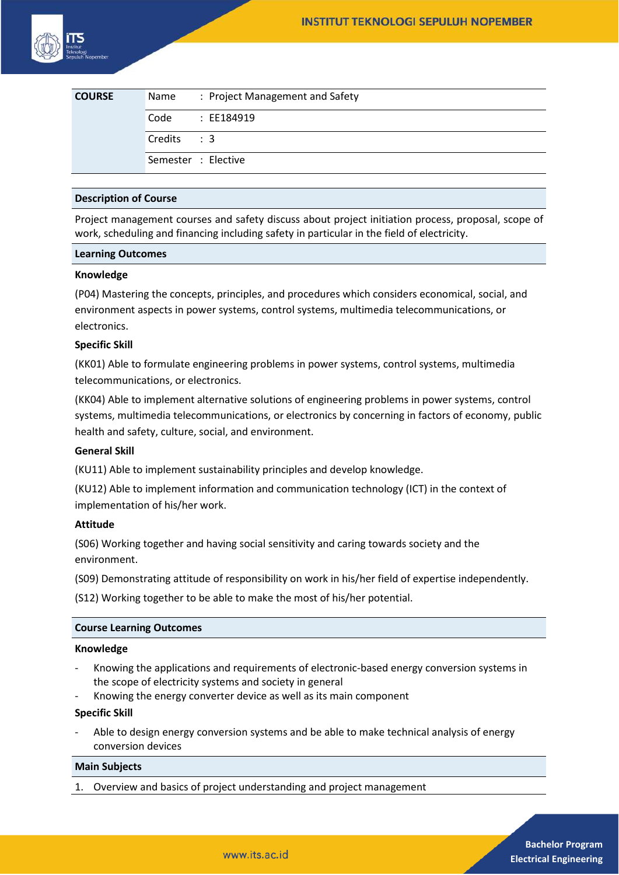| <b>COURSE</b> | Name        | : Project Management and Safety |
|---------------|-------------|---------------------------------|
|               | Code        | : EE184919                      |
|               | Credits : 3 |                                 |
|               |             | Semester : Elective             |

#### **Description of Course**

Project management courses and safety discuss about project initiation process, proposal, scope of work, scheduling and financing including safety in particular in the field of electricity.

#### **Learning Outcomes**

## **Knowledge**

(P04) Mastering the concepts, principles, and procedures which considers economical, social, and environment aspects in power systems, control systems, multimedia telecommunications, or electronics.

## **Specific Skill**

(KK01) Able to formulate engineering problems in power systems, control systems, multimedia telecommunications, or electronics.

(KK04) Able to implement alternative solutions of engineering problems in power systems, control systems, multimedia telecommunications, or electronics by concerning in factors of economy, public health and safety, culture, social, and environment.

## **General Skill**

(KU11) Able to implement sustainability principles and develop knowledge.

(KU12) Able to implement information and communication technology (ICT) in the context of implementation of his/her work.

## **Attitude**

(S06) Working together and having social sensitivity and caring towards society and the environment.

(S09) Demonstrating attitude of responsibility on work in his/her field of expertise independently.

(S12) Working together to be able to make the most of his/her potential.

## **Course Learning Outcomes**

#### **Knowledge**

- Knowing the applications and requirements of electronic-based energy conversion systems in the scope of electricity systems and society in general
- Knowing the energy converter device as well as its main component

# **Specific Skill**

Able to design energy conversion systems and be able to make technical analysis of energy conversion devices

## **Main Subjects**

1. Overview and basics of project understanding and project management